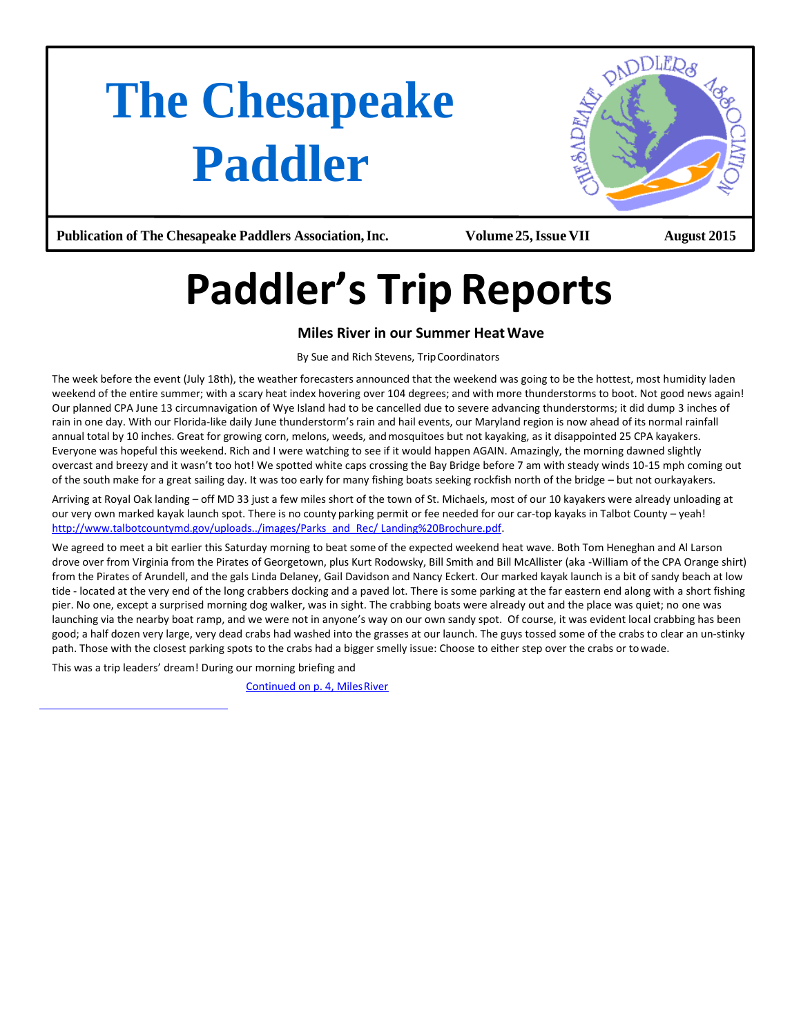# **The Chesapeake Paddler**



**Publication of The Chesapeake Paddlers Association,Inc. Volume25,Issue VII August 2015**

# **Paddler's Trip Reports**

# **Miles River in our Summer HeatWave**

By Sue and Rich Stevens, TripCoordinators

The week before the event (July 18th), the weather forecasters announced that the weekend was going to be the hottest, most humidity laden weekend of the entire summer; with a scary heat index hovering over 104 degrees; and with more thunderstorms to boot. Not good news again! Our planned CPA June 13 circumnavigation of Wye Island had to be cancelled due to severe advancing thunderstorms; it did dump 3 inches of rain in one day. With our Florida-like daily June thunderstorm's rain and hail events, our Maryland region is now ahead of its normal rainfall annual total by 10 inches. Great for growing corn, melons, weeds, and mosquitoes but not kayaking, as it disappointed 25 CPA kayakers. Everyone was hopeful this weekend. Rich and I were watching to see if it would happen AGAIN. Amazingly, the morning dawned slightly overcast and breezy and it wasn't too hot! We spotted white caps crossing the Bay Bridge before 7 am with steady winds 10-15 mph coming out of the south make for a great sailing day. It was too early for many fishing boats seeking rockfish north of the bridge – but not ourkayakers.

Arriving at Royal Oak landing – off MD 33 just a few miles short of the town of St. Michaels, most of our 10 kayakers were already unloading at our very own marked kayak launch spot. There is no county parking permit or fee needed for our car-top kayaks in Talbot County – yeah! [http://www.talbotcountymd.gov/uploads../images/Parks\\_and\\_Rec/ Landing%20Brochure.pdf.](http://www.talbotcountymd.gov/uploads../images/Parks_and_Rec/Landing%20Brochure.pdf)

We agreed to meet a bit earlier this Saturday morning to beat some of the expected weekend heat wave. Both Tom Heneghan and Al Larson drove over from Virginia from the Pirates of Georgetown, plus Kurt Rodowsky, Bill Smith and Bill McAllister (aka -William of the CPA Orange shirt) from the Pirates of Arundell, and the gals Linda Delaney, Gail Davidson and Nancy Eckert. Our marked kayak launch is a bit of sandy beach at low tide - located at the very end of the long crabbers docking and a paved lot. There is some parking at the far eastern end along with a short fishing pier. No one, except a surprised morning dog walker, was in sight. The crabbing boats were already out and the place was quiet; no one was launching via the nearby boat ramp, and we were not in anyone's way on our own sandy spot. Of course, it was evident local crabbing has been good; a half dozen very large, very dead crabs had washed into the grasses at our launch. The guys tossed some of the crabs to clear an un-stinky path. Those with the closest parking spots to the crabs had a bigger smelly issue: Choose to either step over the crabs or towade.

This was a trip leaders' dream! During our morning briefing and

Continued on p. 4, Miles River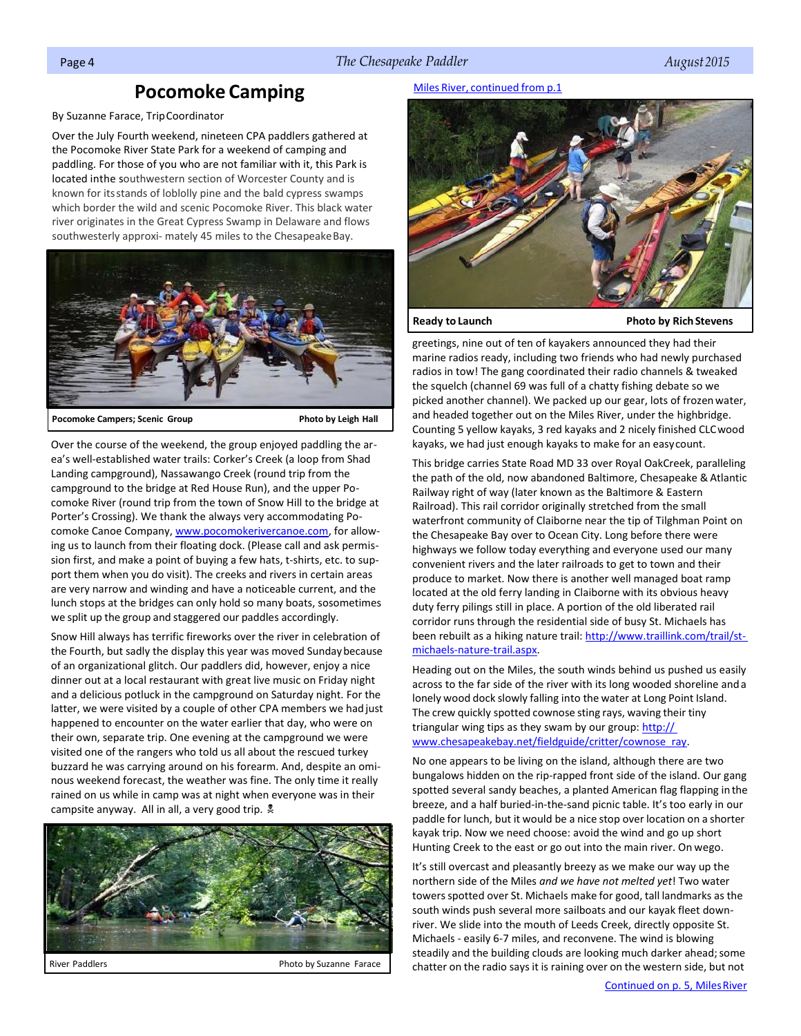# <span id="page-1-0"></span>Page 4 *The Chesapeake Paddler August 2015*

# **Pocomoke Camping**

By Suzanne Farace, TripCoordinator

Over the July Fourth weekend, nineteen CPA paddlers gathered at the Pocomoke River State Park for a weekend of camping and paddling. For those of you who are not familiar with it, this Park is located inthe southwestern section of Worcester County and is known for itsstands of loblolly pine and the bald cypress swamps which border the wild and scenic Pocomoke River. This black water river originates in the Great Cypress Swamp in Delaware and flows southwesterly approxi- mately 45 miles to the Chesapeake Bay.



**Pocomoke Campers; Scenic Group Photo by Leigh Hall**

Over the course of the weekend, the group enjoyed paddling the area's well-established water trails: Corker's Creek (a loop from Shad Landing campground), Nassawango Creek (round trip from the campground to the bridge at Red House Run), and the upper Pocomoke River (round trip from the town of Snow Hill to the bridge at Porter's Crossing). We thank the always very accommodating Po-comoke Canoe Company[, www.pocomokerivercanoe.com,](http://www.pocomokerivercanoe.com/) for allowing us to launch from their floating dock. (Please call and ask permission first, and make a point of buying a few hats, t-shirts, etc. to support them when you do visit). The creeks and rivers in certain areas are very narrow and winding and have a noticeable current, and the lunch stops at the bridges can only hold so many boats, sosometimes we split up the group and staggered our paddles accordingly.

Snow Hill always has terrific fireworks over the river in celebration of the Fourth, but sadly the display this year was moved Sundaybecause of an organizational glitch. Our paddlers did, however, enjoy a nice dinner out at a local restaurant with great live music on Friday night and a delicious potluck in the campground on Saturday night. For the latter, we were visited by a couple of other CPA members we had just happened to encounter on the water earlier that day, who were on their own, separate trip. One evening at the campground we were visited one of the rangers who told us all about the rescued turkey buzzard he was carrying around on his forearm. And, despite an ominous weekend forecast, the weather was fine. The only time it really rained on us while in camp was at night when everyone was in their campsite anyway. All in all, a very good trip.  $\frac{1}{2}$ 



## Miles River, continued from p.1



**Ready to Launch Photo by Rich Stevens** 

greetings, nine out of ten of kayakers announced they had their marine radios ready, including two friends who had newly purchased radios in tow! The gang coordinated their radio channels & tweaked the squelch (channel 69 was full of a chatty fishing debate so we picked another channel). We packed up our gear, lots of frozenwater, and headed together out on the Miles River, under the highbridge. Counting 5 yellow kayaks, 3 red kayaks and 2 nicely finished CLCwood kayaks, we had just enough kayaks to make for an easycount.

This bridge carries State Road MD 33 over Royal OakCreek, paralleling the path of the old, now abandoned Baltimore, Chesapeake & Atlantic Railway right of way (later known as the Baltimore & Eastern Railroad). This rail corridor originally stretched from the small waterfront community of Claiborne near the tip of Tilghman Point on the Chesapeake Bay over to Ocean City. Long before there were highways we follow today everything and everyone used our many convenient rivers and the later railroads to get to town and their produce to market. Now there is another well managed boat ramp located at the old ferry landing in Claiborne with its obvious heavy duty ferry pilings still in place. A portion of the old liberated rail corridor runs through the residential side of busy St. Michaels has been rebuilt as a hiking nature trail[: http://www.traillink.com/trail/st](http://www.traillink.com/trail/st-michaels-nature-trail.aspx)[michaels-nature-trail.aspx.](http://www.traillink.com/trail/st-michaels-nature-trail.aspx)

Heading out on the Miles, the south winds behind us pushed us easily across to the far side of the river with its long wooded shoreline anda lonely wood dock slowly falling into the water at Long Point Island. The crew quickly spotted cownose sting rays, waving their tiny triangular wing tips as they swam by our group: http:// [www.chesapeakebay.net/fieldguide/critter/cownose\\_ray.](http://www.chesapeakebay.net/fieldguide/critter/cownose_ray)

No one appears to be living on the island, although there are two bungalows hidden on the rip-rapped front side of the island. Our gang spotted several sandy beaches, a planted American flag flapping inthe breeze, and a half buried-in-the-sand picnic table. It's too early in our paddle for lunch, but it would be a nice stop over location on a shorter kayak trip. Now we need choose: avoid the wind and go up short Hunting Creek to the east or go out into the main river. On wego.

It's still overcast and pleasantly breezy as we make our way up the northern side of the Miles *and we have not melted yet*! Two water towers spotted over St. Michaels make for good, tall landmarks as the south winds push several more sailboats and our kayak fleet downriver. We slide into the mouth of Leeds Creek, directly opposite St. Michaels - easily 6-7 miles, and reconvene. The wind is blowing steadily and the building clouds are looking much darker ahead; some chatter on the radio says it is raining over on the western side, but not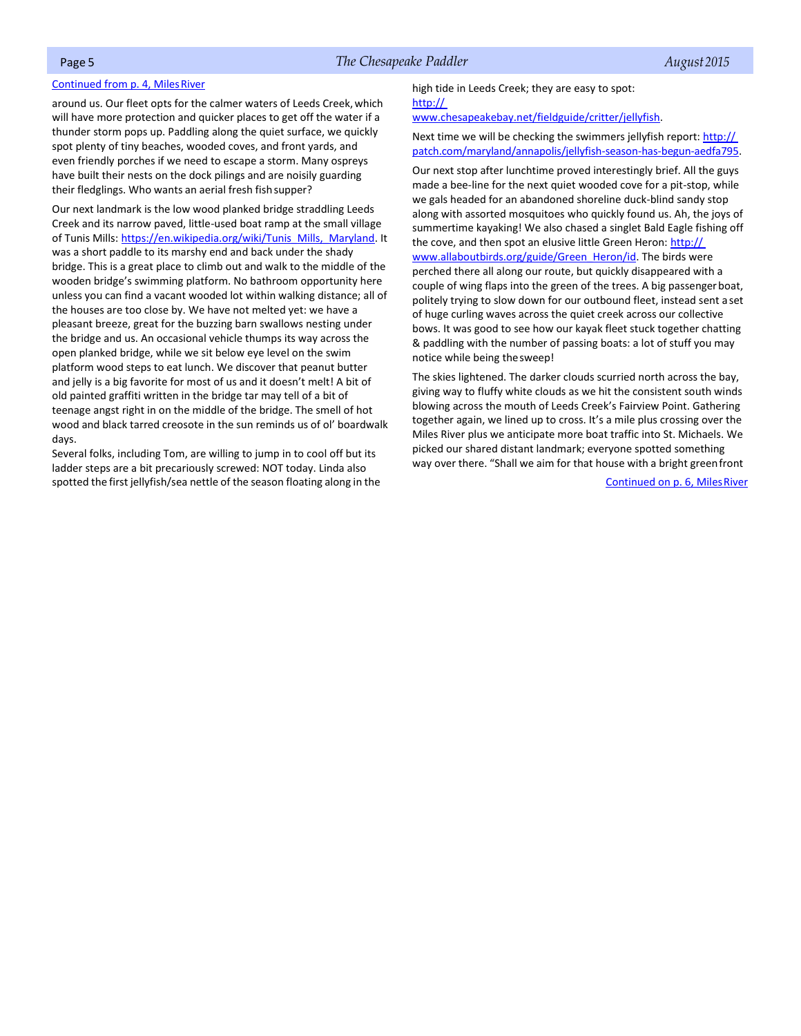### <span id="page-2-0"></span>Continued from p. 4, Miles River

around us. Our fleet opts for the calmer waters of Leeds Creek,which will have more protection and quicker places to get off the water if a thunder storm pops up. Paddling along the quiet surface, we quickly spot plenty of tiny beaches, wooded coves, and front yards, and even friendly porches if we need to escape a storm. Many ospreys have built their nests on the dock pilings and are noisily guarding their fledglings. Who wants an aerial fresh fishsupper?

Our next landmark is the low wood planked bridge straddling Leeds Creek and its narrow paved, little-used boat ramp at the small village of Tunis Mills[: https://en.wikipedia.org/wiki/Tunis\\_Mills,\\_Maryland.](https://en.wikipedia.org/wiki/Tunis_Mills%2C_Maryland) It was a short paddle to its marshy end and back under the shady bridge. This is a great place to climb out and walk to the middle of the wooden bridge's swimming platform. No bathroom opportunity here unless you can find a vacant wooded lot within walking distance; all of the houses are too close by. We have not melted yet: we have a pleasant breeze, great for the buzzing barn swallows nesting under the bridge and us. An occasional vehicle thumps its way across the open planked bridge, while we sit below eye level on the swim platform wood steps to eat lunch. We discover that peanut butter and jelly is a big favorite for most of us and it doesn't melt! A bit of old painted graffiti written in the bridge tar may tell of a bit of teenage angst right in on the middle of the bridge. The smell of hot wood and black tarred creosote in the sun reminds us of ol' boardwalk days.

Several folks, including Tom, are willing to jump in to cool off but its ladder steps are a bit precariously screwed: NOT today. Linda also spotted the first jellyfish/sea nettle of the season floating along in the high tide in Leeds Creek; they are easy to spot: [http://](http://www.chesapeakebay.net/fieldguide/critter/jellyfish) 

[www.chesapeakebay.net/fieldguide/critter/jellyfish.](http://www.chesapeakebay.net/fieldguide/critter/jellyfish)

Next time we will be checking the swimmers jellyfish report: http:// [patch.com/maryland/annapolis/jellyfish-season-has-begun-aedfa795.](http://patch.com/maryland/annapolis/jellyfish-season-has-begun-aedfa795)

Our next stop after lunchtime proved interestingly brief. All the guys made a bee-line for the next quiet wooded cove for a pit-stop, while we gals headed for an abandoned shoreline duck-blind sandy stop along with assorted mosquitoes who quickly found us. Ah, the joys of summertime kayaking! We also chased a singlet Bald Eagle fishing off the cove, and then spot an elusive little Green Heron: http:// [www.allaboutbirds.org/guide/Green\\_Heron/id.](http://www.allaboutbirds.org/guide/Green_Heron/id) The birds were perched there all along our route, but quickly disappeared with a couple of wing flaps into the green of the trees. A big passengerboat, politely trying to slow down for our outbound fleet, instead sent a set of huge curling waves across the quiet creek across our collective bows. It was good to see how our kayak fleet stuck together chatting & paddling with the number of passing boats: a lot of stuff you may notice while being thesweep!

The skies lightened. The darker clouds scurried north across the bay, giving way to fluffy white clouds as we hit the consistent south winds blowing across the mouth of Leeds Creek's Fairview Point. Gathering together again, we lined up to cross. It's a mile plus crossing over the Miles River plus we anticipate more boat traffic into St. Michaels. We picked our shared distant landmark; everyone spotted something way over there. "Shall we aim for that house with a bright greenfront

Continued on p. 6, Miles River